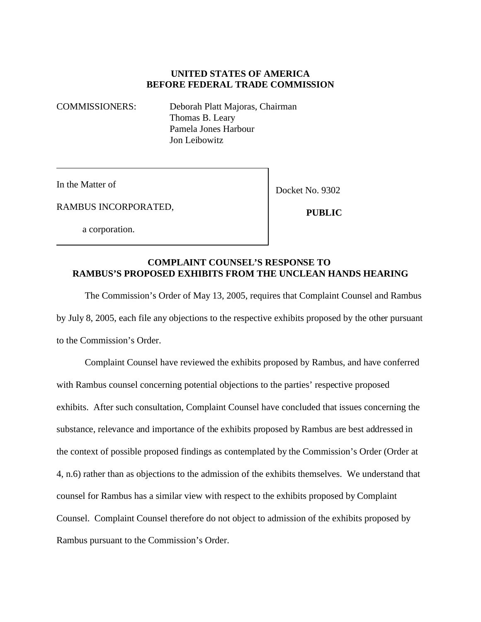## **UNITED STATES OF AMERICA BEFORE FEDERAL TRADE COMMISSION**

COMMISSIONERS: Deborah Platt Majoras, Chairman Thomas B. Leary Pamela Jones Harbour Jon Leibowitz

In the Matter of

Docket No. 9302

RAMBUS INCORPORATED,

a corporation.

 **PUBLIC**

## **COMPLAINT COUNSEL'S RESPONSE TO RAMBUS'S PROPOSED EXHIBITS FROM THE UNCLEAN HANDS HEARING**

The Commission's Order of May 13, 2005, requires that Complaint Counsel and Rambus by July 8, 2005, each file any objections to the respective exhibits proposed by the other pursuant to the Commission's Order.

Complaint Counsel have reviewed the exhibits proposed by Rambus, and have conferred with Rambus counsel concerning potential objections to the parties' respective proposed exhibits. After such consultation, Complaint Counsel have concluded that issues concerning the substance, relevance and importance of the exhibits proposed by Rambus are best addressed in the context of possible proposed findings as contemplated by the Commission's Order (Order at 4, n.6) rather than as objections to the admission of the exhibits themselves. We understand that counsel for Rambus has a similar view with respect to the exhibits proposed by Complaint Counsel. Complaint Counsel therefore do not object to admission of the exhibits proposed by Rambus pursuant to the Commission's Order.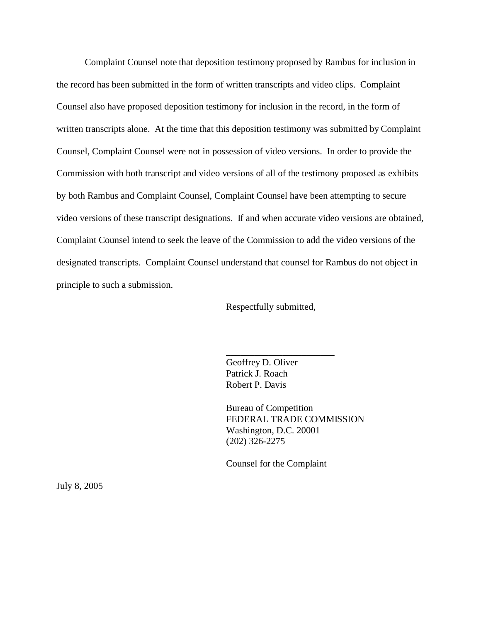Complaint Counsel note that deposition testimony proposed by Rambus for inclusion in the record has been submitted in the form of written transcripts and video clips. Complaint Counsel also have proposed deposition testimony for inclusion in the record, in the form of written transcripts alone. At the time that this deposition testimony was submitted by Complaint Counsel, Complaint Counsel were not in possession of video versions. In order to provide the Commission with both transcript and video versions of all of the testimony proposed as exhibits by both Rambus and Complaint Counsel, Complaint Counsel have been attempting to secure video versions of these transcript designations. If and when accurate video versions are obtained, Complaint Counsel intend to seek the leave of the Commission to add the video versions of the designated transcripts. Complaint Counsel understand that counsel for Rambus do not object in principle to such a submission.

Respectfully submitted,

**\_\_\_\_\_\_\_\_\_\_\_\_\_\_\_\_\_\_\_\_\_\_\_** 

Geoffrey D. Oliver Patrick J. Roach Robert P. Davis

Bureau of Competition FEDERAL TRADE COMMISSION Washington, D.C. 20001 (202) 326-2275

Counsel for the Complaint

July 8, 2005